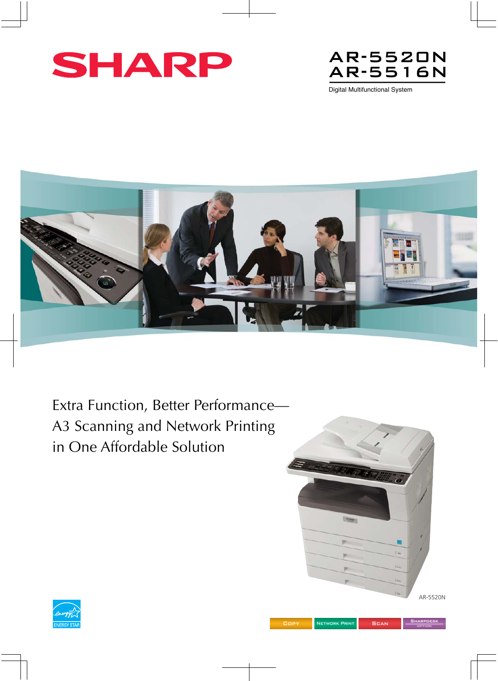



Digital Multifunctional System



Extra Function, Better Performance— A3 Scanning and Network Printing in One Affordable Solution





**SHARPDESK OPTION**